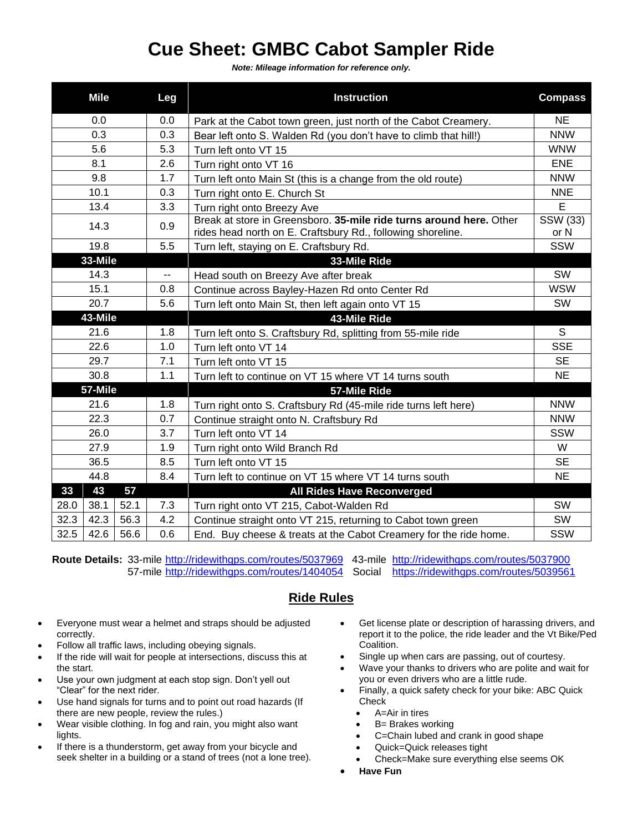## **Cue Sheet: GMBC Cabot Sampler Ride**

*Note: Mileage information for reference only.*

|         | Mile |      | Leg | <b>Instruction</b>                                                                                                                 | <b>Compass</b>   |
|---------|------|------|-----|------------------------------------------------------------------------------------------------------------------------------------|------------------|
|         | 0.0  |      |     | Park at the Cabot town green, just north of the Cabot Creamery.                                                                    | NE.              |
| 0.3     |      |      | 0.3 | Bear left onto S. Walden Rd (you don't have to climb that hill!)                                                                   | <b>NNW</b>       |
| 5.6     |      |      | 5.3 | Turn left onto VT 15                                                                                                               | <b>WNW</b>       |
| 8.1     |      |      | 2.6 | Turn right onto VT 16                                                                                                              | <b>ENE</b>       |
| 9.8     |      |      | 1.7 | Turn left onto Main St (this is a change from the old route)                                                                       | <b>NNW</b>       |
| 10.1    |      |      | 0.3 | Turn right onto E. Church St                                                                                                       | <b>NNE</b>       |
| 13.4    |      |      | 3.3 | Turn right onto Breezy Ave                                                                                                         | E                |
| 14.3    |      |      | 0.9 | Break at store in Greensboro, 35-mile ride turns around here. Other<br>rides head north on E. Craftsbury Rd., following shoreline. | SSW (33)<br>or N |
| 19.8    |      |      | 5.5 | Turn left, staying on E. Craftsbury Rd.                                                                                            | SSW              |
| 33-Mile |      |      |     | 33-Mile Ride                                                                                                                       |                  |
| 14.3    |      |      | --  | Head south on Breezy Ave after break                                                                                               | <b>SW</b>        |
| 15.1    |      |      | 0.8 | Continue across Bayley-Hazen Rd onto Center Rd                                                                                     | <b>WSW</b>       |
| 20.7    |      |      | 5.6 | Turn left onto Main St, then left again onto VT 15                                                                                 | <b>SW</b>        |
| 43-Mile |      |      |     | 43-Mile Ride                                                                                                                       |                  |
| 21.6    |      |      | 1.8 | Turn left onto S. Craftsbury Rd, splitting from 55-mile ride                                                                       | S                |
| 22.6    |      |      | 1.0 | Turn left onto VT 14                                                                                                               | <b>SSE</b>       |
| 29.7    |      |      | 7.1 | Turn left onto VT 15                                                                                                               | <b>SE</b>        |
| 30.8    |      |      | 1.1 | Turn left to continue on VT 15 where VT 14 turns south                                                                             | <b>NE</b>        |
| 57-Mile |      |      |     | 57-Mile Ride                                                                                                                       |                  |
| 21.6    |      |      | 1.8 | Turn right onto S. Craftsbury Rd (45-mile ride turns left here)                                                                    | <b>NNW</b>       |
| 22.3    |      |      | 0.7 | Continue straight onto N. Craftsbury Rd                                                                                            | <b>NNW</b>       |
| 26.0    |      |      | 3.7 | Turn left onto VT 14                                                                                                               | SSW              |
| 27.9    |      |      | 1.9 | Turn right onto Wild Branch Rd                                                                                                     | W                |
| 36.5    |      |      | 8.5 | Turn left onto VT 15                                                                                                               | <b>SE</b>        |
| 44.8    |      |      | 8.4 | Turn left to continue on VT 15 where VT 14 turns south                                                                             | <b>NE</b>        |
| 33      | 43   | 57   |     | <b>All Rides Have Reconverged</b>                                                                                                  |                  |
| 28.0    | 38.1 | 52.1 | 7.3 | Turn right onto VT 215, Cabot-Walden Rd                                                                                            | <b>SW</b>        |
| 32.3    | 42.3 | 56.3 | 4.2 | Continue straight onto VT 215, returning to Cabot town green                                                                       | SW               |
| 32.5    | 42.6 | 56.6 | 0.6 | End. Buy cheese & treats at the Cabot Creamery for the ride home.                                                                  | SSW              |

**Route Details:** 33-mile <http://ridewithgps.com/routes/5037969> 43-mile <http://ridewithgps.com/routes/5037900> 57-mile <http://ridewithgps.com/routes/1404054> Social <https://ridewithgps.com/routes/5039561>

## **Ride Rules**

- Everyone must wear a helmet and straps should be adjusted correctly.
- Follow all traffic laws, including obeying signals.
- If the ride will wait for people at intersections, discuss this at the start.
- Use your own judgment at each stop sign. Don't yell out "Clear" for the next rider.
- Use hand signals for turns and to point out road hazards (If there are new people, review the rules.)
- Wear visible clothing. In fog and rain, you might also want lights.
- If there is a thunderstorm, get away from your bicycle and seek shelter in a building or a stand of trees (not a lone tree).
- Get license plate or description of harassing drivers, and report it to the police, the ride leader and the Vt Bike/Ped Coalition.
- Single up when cars are passing, out of courtesy.
- Wave your thanks to drivers who are polite and wait for you or even drivers who are a little rude.
- Finally, a quick safety check for your bike: ABC Quick Check
	- A=Air in tires
	- B= Brakes working
	- C=Chain lubed and crank in good shape
	- Quick=Quick releases tight
	- Check=Make sure everything else seems OK
- **Have Fun**